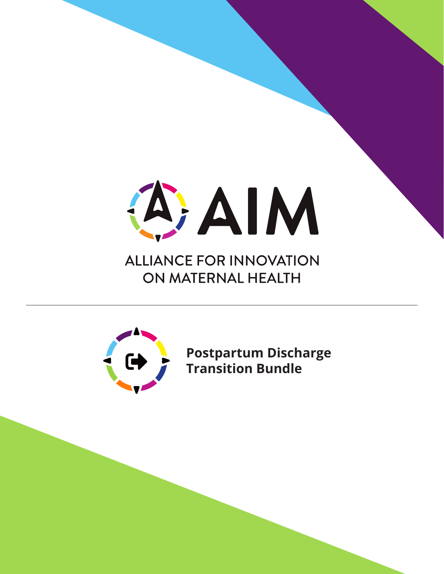

# **ALLIANCE FOR INNOVATION** ON MATERNAL HEALTH



**Postpartum Discharge Transition Bundle**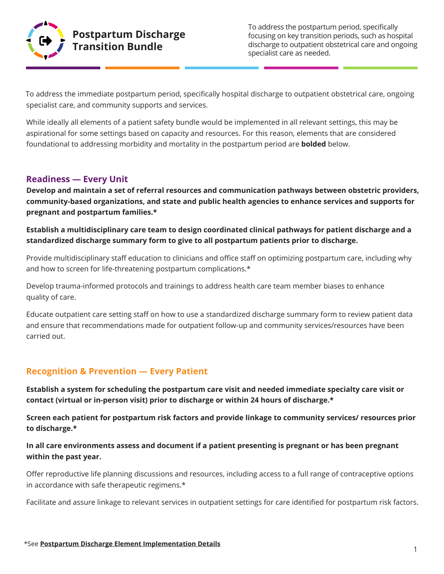

To address the postpartum period, specifically focusing on key transition periods, such as hospital discharge to outpatient obstetrical care and ongoing specialist care as needed.

To address the immediate postpartum period, specifically hospital discharge to outpatient obstetrical care, ongoing specialist care, and community supports and services.

While ideally all elements of a patient safety bundle would be implemented in all relevant settings, this may be aspirational for some settings based on capacity and resources. For this reason, elements that are considered foundational to addressing morbidity and mortality in the postpartum period are **bolded** below.

## **Readiness — Every Unit**

**Develop and maintain a set of referral resources and communication pathways between obstetric providers, community-based organizations, and state and public health agencies to enhance services and supports for pregnant and postpartum families.\*** 

**Establish a multidisciplinary care team to design coordinated clinical pathways for patient discharge and a standardized discharge summary form to give to all postpartum patients prior to discharge.**

Provide multidisciplinary staff education to clinicians and office staff on optimizing postpartum care, including why and how to screen for life-threatening postpartum complications.\*

Develop trauma-informed protocols and trainings to address health care team member biases to enhance quality of care.

Educate outpatient care setting staff on how to use a standardized discharge summary form to review patient data and ensure that recommendations made for outpatient follow-up and community services/resources have been carried out.

# **Recognition & Prevention — Every Patient**

**Establish a system for scheduling the postpartum care visit and needed immediate specialty care visit or contact (virtual or in-person visit) prior to discharge or within 24 hours of discharge.\***

**Screen each patient for postpartum risk factors and provide linkage to community services/ resources prior to discharge.\***

## **In all care environments assess and document if a patient presenting is pregnant or has been pregnant within the past year.**

Offer reproductive life planning discussions and resources, including access to a full range of contraceptive options in accordance with safe therapeutic regimens.\*

Facilitate and assure linkage to relevant services in outpatient settings for care identified for postpartum risk factors.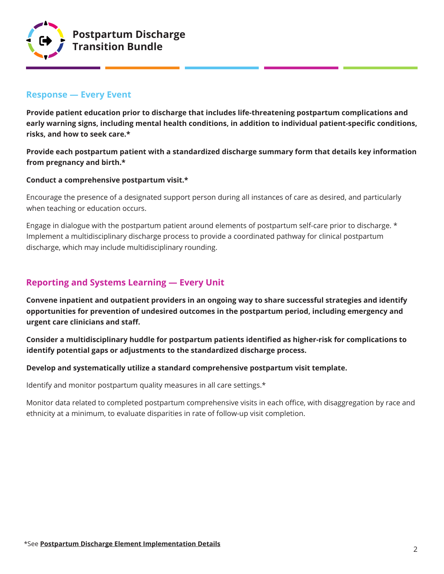

## **Response — Every Event**

**Provide patient education prior to discharge that includes life-threatening postpartum complications and early warning signs, including mental health conditions, in addition to individual patient-specific conditions, risks, and how to seek care.\***

**Provide each postpartum patient with a standardized discharge summary form that details key information from pregnancy and birth.\*** 

#### **Conduct a comprehensive postpartum visit.\***

Encourage the presence of a designated support person during all instances of care as desired, and particularly when teaching or education occurs.

Engage in dialogue with the postpartum patient around elements of postpartum self-care prior to discharge. \* Implement a multidisciplinary discharge process to provide a coordinated pathway for clinical postpartum discharge, which may include multidisciplinary rounding.

# **Reporting and Systems Learning — Every Unit**

**Convene inpatient and outpatient providers in an ongoing way to share successful strategies and identify opportunities for prevention of undesired outcomes in the postpartum period, including emergency and urgent care clinicians and staff.**

**Consider a multidisciplinary huddle for postpartum patients identified as higher-risk for complications to identify potential gaps or adjustments to the standardized discharge process.**

#### **Develop and systematically utilize a standard comprehensive postpartum visit template.**

Identify and monitor postpartum quality measures in all care settings.\*

Monitor data related to completed postpartum comprehensive visits in each office, with disaggregation by race and ethnicity at a minimum, to evaluate disparities in rate of follow-up visit completion.